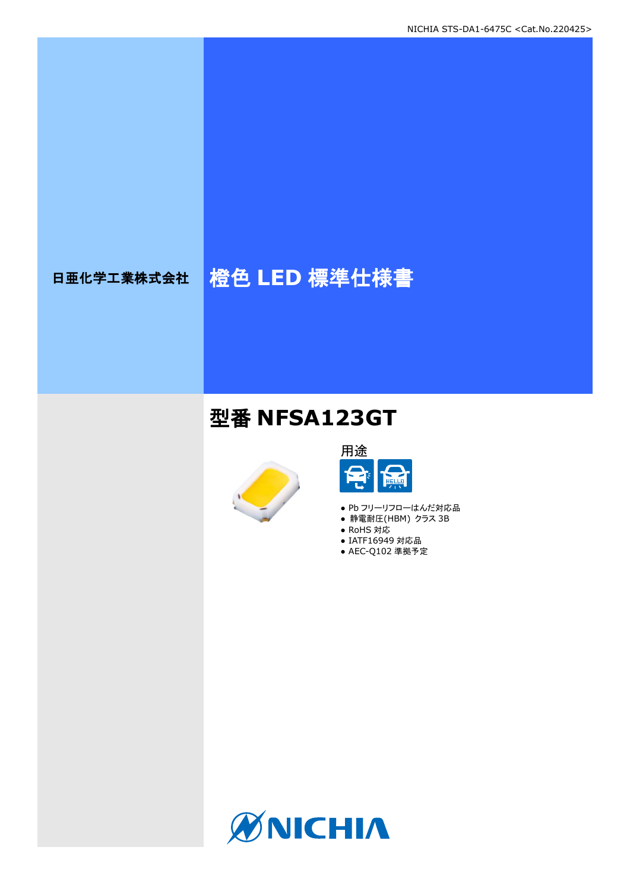# 日亜化学工業株式会社 格色 LED 標準仕様書

## 型番 **NFSA123GT**





- Pb フリーリフローはんだ対応品
- **静電耐圧(HBM) クラス 3B**
- RoHS 対応
- IATF16949 対応品
- AEC-Q102 準拠予定

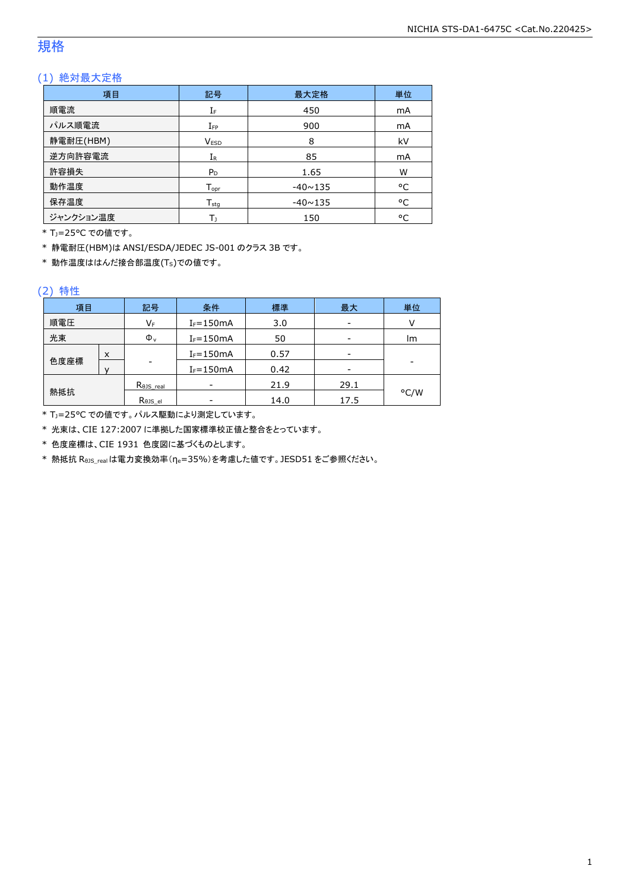### 規格

### (1) 絶対最大定格

| 項目        | 記号                         | 最大定格           | 単位             |
|-----------|----------------------------|----------------|----------------|
| 順電流       | IF                         | 450            | mA             |
| パルス順電流    | $I_{FP}$                   | 900            | mA             |
| 静電耐圧(HBM) | <b>VESD</b>                | 8              | kV             |
| 逆方向許容電流   | $I_{R}$                    | 85             | m <sub>A</sub> |
| 許容損失      | $P_D$                      | 1.65           | W              |
| 動作温度      | $T_{\text{opt}}$           | $-40 \sim 135$ | °C             |
| 保存温度      | ${\mathsf T}_{\text{sta}}$ | $-40 \sim 135$ | °C             |
| ジャンクション温度 | Т١                         | 150            | °C             |

\* TJ=25°C での値です。

\* 静電耐圧(HBM)は ANSI/ESDA/JEDEC JS-001 のクラス 3B です。

\* 動作温度ははんだ接合部温度(TS)での値です。

#### (2) 特性

| 項目   |   | 記号        | 条件            | 標準   | 最大   | 単位   |
|------|---|-----------|---------------|------|------|------|
| 順電圧  |   | VF        | $I_F = 150mA$ | 3.0  | -    |      |
| 光束   |   | $\Phi_v$  | $I_F = 150mA$ | 50   | -    | lm   |
|      | x |           | $I_F = 150mA$ | 0.57 |      |      |
| 色度座標 |   | -         | $I_F = 150mA$ | 0.42 | -    |      |
|      |   | Rojs_real |               | 21.9 | 29.1 |      |
| 熱抵抗  |   | Rejs el   |               | 14.0 | 17.5 | °C/W |

\* TJ=25°C での値です。パルス駆動により測定しています。

\* 光束は、CIE 127:2007 に準拠した国家標準校正値と整合をとっています。

\* 色度座標は、CIE 1931 色度図に基づくものとします。

\* 熱抵抗 RθJS\_realは電力変換効率(ηe=35%)を考慮した値です。JESD51 をご参照ください。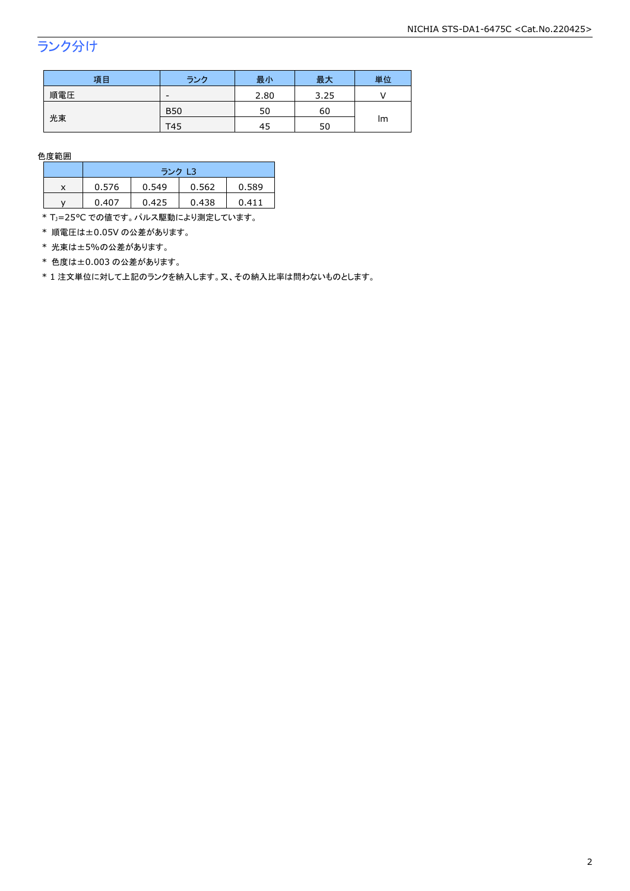### ランク分け

| 項目  | ランク        | 最小   | 最大   | 単位 |
|-----|------------|------|------|----|
| 順電圧 | -          | 2.80 | 3.25 |    |
|     | <b>B50</b> | 50   | 60   |    |
| 光束  | T45        | 45   | 50   | lm |

#### 色度範囲

|   | ランク L3 |       |       |       |
|---|--------|-------|-------|-------|
|   | 0.576  | 0.549 | 0.562 | 0.589 |
| v | 0.407  | 0.425 | 0.438 | 0 411 |

\* TJ=25°C での値です。パルス駆動により測定しています。

\* 順電圧は±0.05V の公差があります。

\* 光束は±5%の公差があります。

\* 色度は±0.003 の公差があります。

\* 1 注文単位に対して上記のランクを納入します。又、その納入比率は問わないものとします。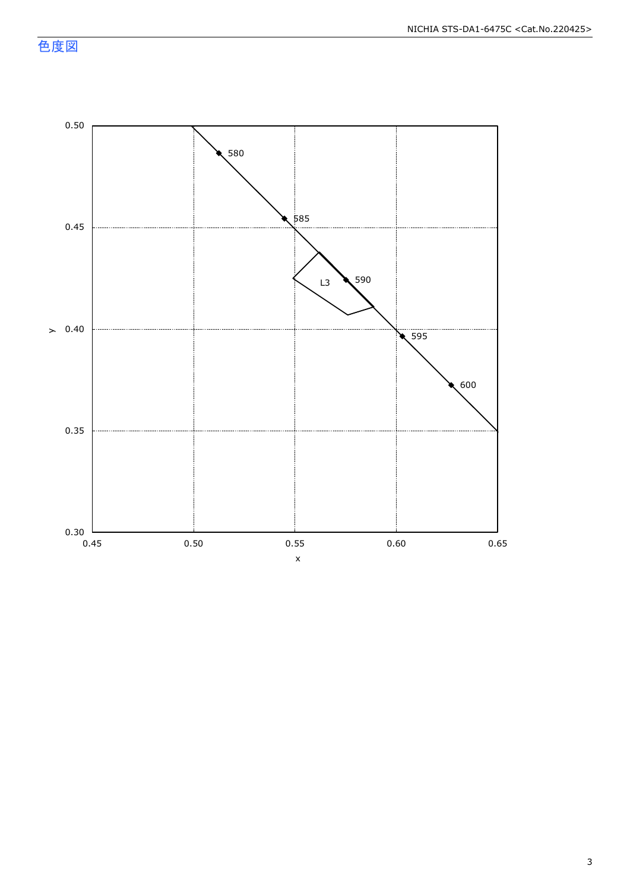色度図

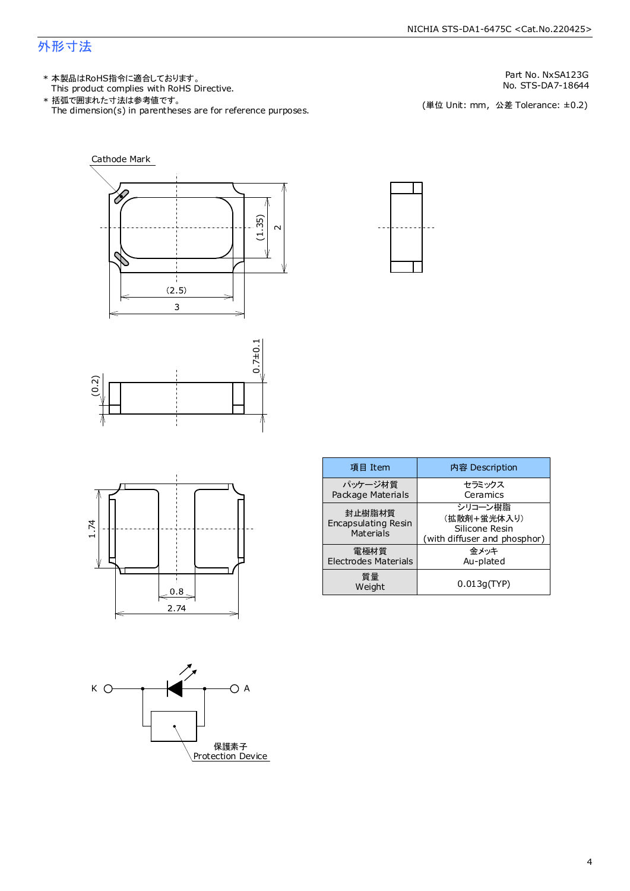### 外形寸法

This product complies with RoHS Directive. 本製品はRoHS指令に適合しております。 \*

The dimension(s) in parentheses are for reference purposes. 括弧で囲まれた寸法は参考値です。 \*

Part No. NxSA123G

No. STS-DA7-18644<br>(単位 Unit: mm,公差 Tolerance: ±0.2)







内容 Description





項目 Item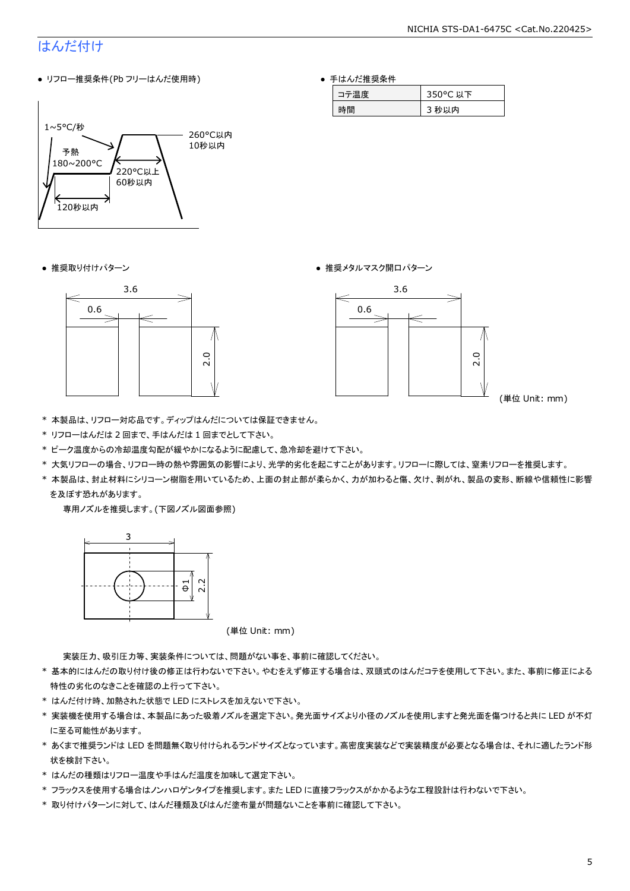### はんだ付け

● リフロー推奨条件(Pb フリーはんだ使用時)



● 手はんだ推奨条件

| 匣 | 350°C 以下 |
|---|----------|
|   | ›以内      |

● 推奨取り付けパターン ろんじょう しょうしゃ ゆうしゃ ウィック・サービス きゅうしょく 推奨メタルマスク開口パターン





(単位 Unit: mm)

- \* 本製品は、リフロー対応品です。ディップはんだについては保証できません。
- \* リフローはんだは 2 回まで、手はんだは 1 回までとして下さい。
- \* ピーク温度からの冷却温度勾配が緩やかになるように配慮して、急冷却を避けて下さい。
- \* 大気リフローの場合、リフロー時の熱や雰囲気の影響により、光学的劣化を起こすことがあります。リフローに際しては、窒素リフローを推奨します。
- \* 本製品は、封止材料にシリコーン樹脂を用いているため、上面の封止部が柔らかく、力が加わると傷、欠け、剥がれ、製品の変形、断線や信頼性に影響 を及ぼす恐れがあります。

専用ノズルを推奨します。(下図ノズル図面参照)



(単位 Unit: mm)

実装圧力、吸引圧力等、実装条件については、問題がない事を、事前に確認してください。

- \* 基本的にはんだの取り付け後の修正は行わないで下さい。やむをえず修正する場合は、双頭式のはんだコテを使用して下さい。また、事前に修正による 特性の劣化のなきことを確認の上行って下さい。
- \* はんだ付け時、加熱された状態で LED にストレスを加えないで下さい。
- \* 実装機を使用する場合は、本製品にあった吸着ノズルを選定下さい。発光面サイズより小径のノズルを使用しますと発光面を傷つけると共に LED が不灯 に至る可能性があります。
- \* あくまで推奨ランドは LED を問題無く取り付けられるランドサイズとなっています。高密度実装などで実装精度が必要となる場合は、それに適したランド形 状を検討下さい。
- \* はんだの種類はリフロー温度や手はんだ温度を加味して選定下さい。
- \* フラックスを使用する場合はノンハロゲンタイプを推奨します。また LED に直接フラックスがかかるような工程設計は行わないで下さい。
- \* 取り付けパターンに対して、はんだ種類及びはんだ塗布量が問題ないことを事前に確認して下さい。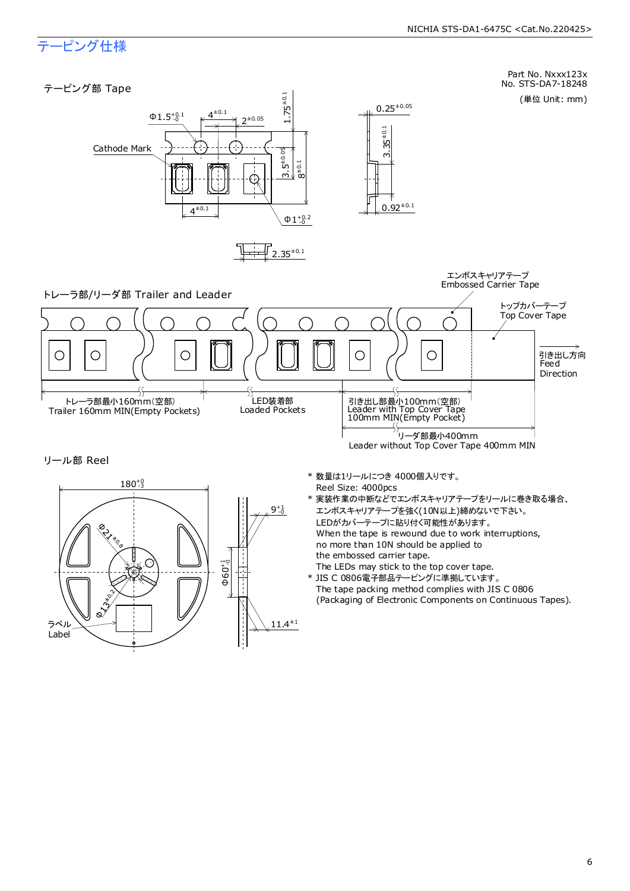### テーピング仕様

ラベル Label **QINE** 



 $11.4^{\pm1}$ 

(Packaging of Electronic Components on Continuous Tapes).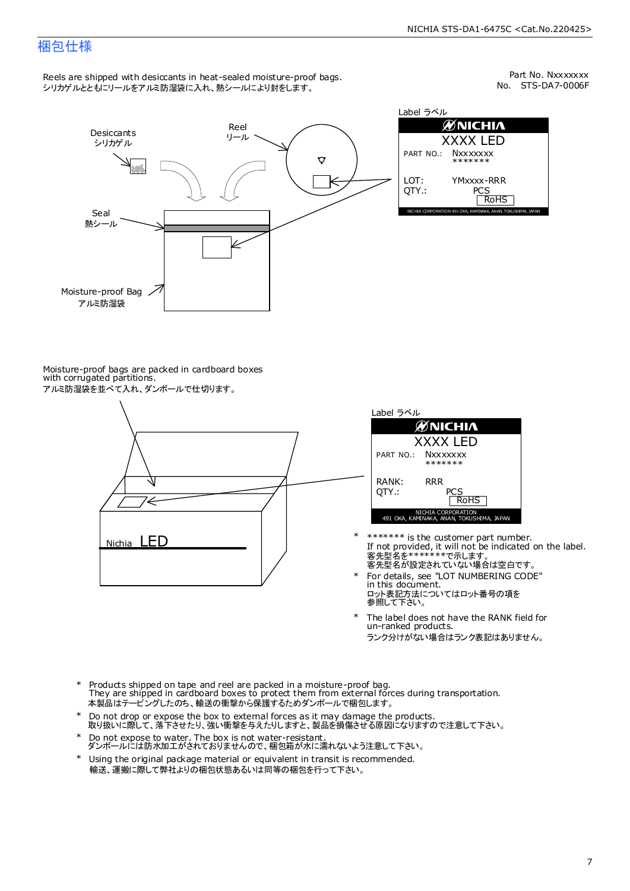### 梱包仕様

Reels are shipped with desiccants in heat-sealed moisture-proof bags. シリカゲルとともにリールをアルミ防湿袋に入れ、熱シールにより封をします。

No. STS-DA7-0006F Part No. Nxxxxxxx



| Label ラベル      |                                                              |  |  |  |
|----------------|--------------------------------------------------------------|--|--|--|
| <b>ØNICHIA</b> |                                                              |  |  |  |
| XXXX LED       |                                                              |  |  |  |
|                | PART NO.: NXXXXXXX<br>*******                                |  |  |  |
| LOT:<br>OTY.:  | YMxxxx-RRR<br>PCS<br><b>RoHS</b>                             |  |  |  |
|                | NICHIA CORPORATION 491 OKA, KAMINAKA, ANAN, TOKUSHIMA, JAPAN |  |  |  |

Moisture-proof bags are packed in cardboard boxes with corrugated partitions. アルミ防湿袋を並べて入れ、ダンボールで仕切ります。





- 客先型名を\*\*\*\*\*\*\*\*で示します。<br>客先型名が設定されていない場合は空白です。 If not provided, it will not be indicated on the label. \*\*\*\*\*\*\* is the customer part number.
- For details, see "LOT NUMBERING CODE" in this document. ロット表記方法についてはロット番号の項を<br>参照して下さい。 \*
- The label does not have the RANK field for un-ranked products. ランク分けがない場合はランク表記はありません。 \*
- Products shipped on tape and reel are packed in a moisture-proof bag. They are shipped in cardboard boxes to protect them from external forces during transportation. 本製品はテーピングしたのち、輸送の衝撃から保護するためダンボールで梱包します。 \*
- Do not drop or expose the box to external forces as it may damage the products. 取り扱いに際して、落下させたり、強い衝撃を与えたりしますと、製品を損傷させる原因になりますので注意して下さい。 \*
- Do not expose to water. The box is not water-resistant. ダンボールには防水加工がされておりませんので、梱包箱が水に濡れないよう注意して下さい。 \*
- \* Using the original package material or equivalent in transit is recommended. 輸送、運搬に際して弊社よりの梱包状態あるいは同等の梱包を行って下さい。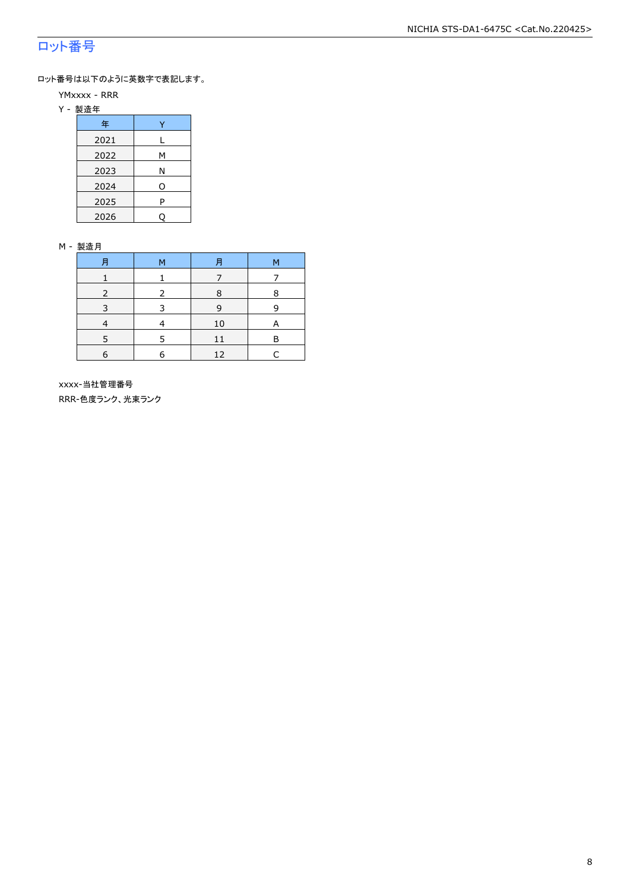### ロット番号

ロット番号は以下のように英数字で表記します。

- YMxxxx RRR
- Y 製造年

| 年    |   |
|------|---|
| 2021 |   |
| 2022 | М |
| 2023 | Ν |
| 2024 | O |
| 2025 | P |
| 2026 |   |

#### M - 製造月

|   | м |    | м |
|---|---|----|---|
|   |   |    |   |
|   | 2 | 8  | 8 |
| 3 | 3 | 9  | q |
|   |   | 10 | А |
| 5 | 5 | 11 | Β |
| 6 | 6 | 12 |   |

 xxxx-当社管理番号 RRR-色度ランク、光束ランク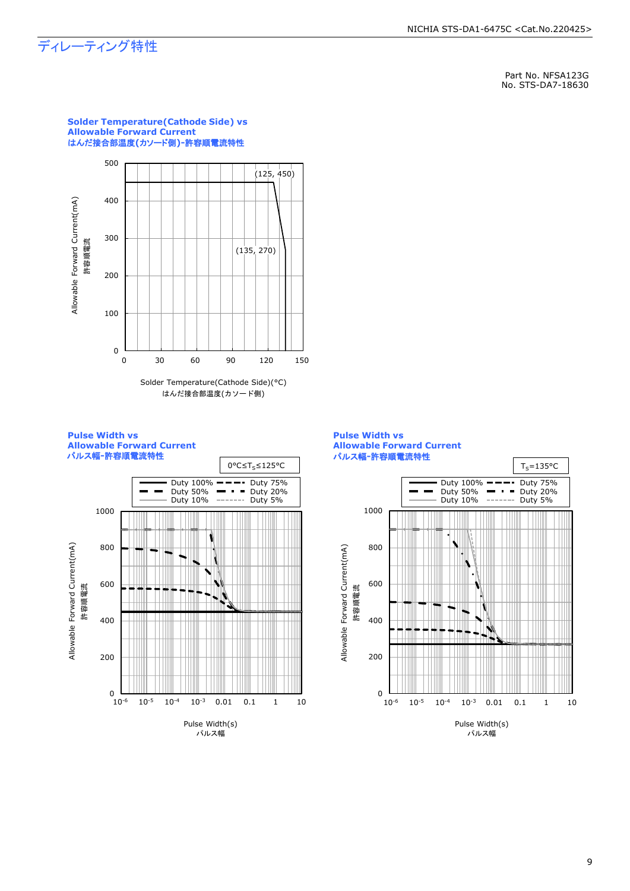## ディレーティング特性

Part No. NFSA123G No. STS-DA7-18630



はんだ接合部温度(カソード側)

**Pulse Width vs Allowable Forward Current** パルス幅**-**許容順電流特性





#### **Solder Temperature(Cathode Side) vs Allowable Forward Current** はんだ接合部温度**(**カソード側**)-**許容順電流特性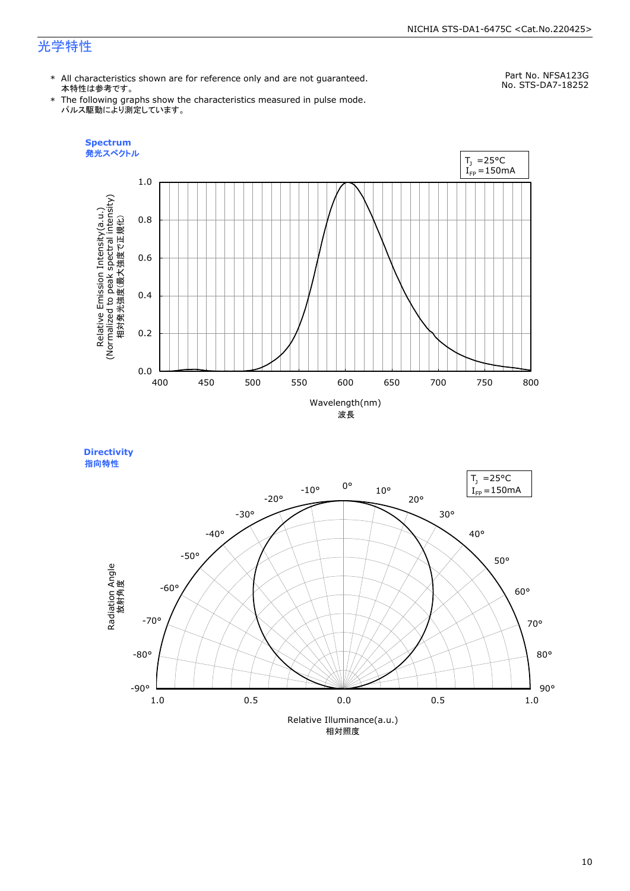#### NICHIA STS-DA1-6475C <Cat.No.220425>

### 光学特性

\* All characteristics shown are for reference only and are not guaranteed. 本特性は参考です。

Part No. NFSA123G No. STS-DA7-18252

\* The following graphs show the characteristics measured in pulse mode. パルス駆動により測定しています。



**Directivity**  指向特性

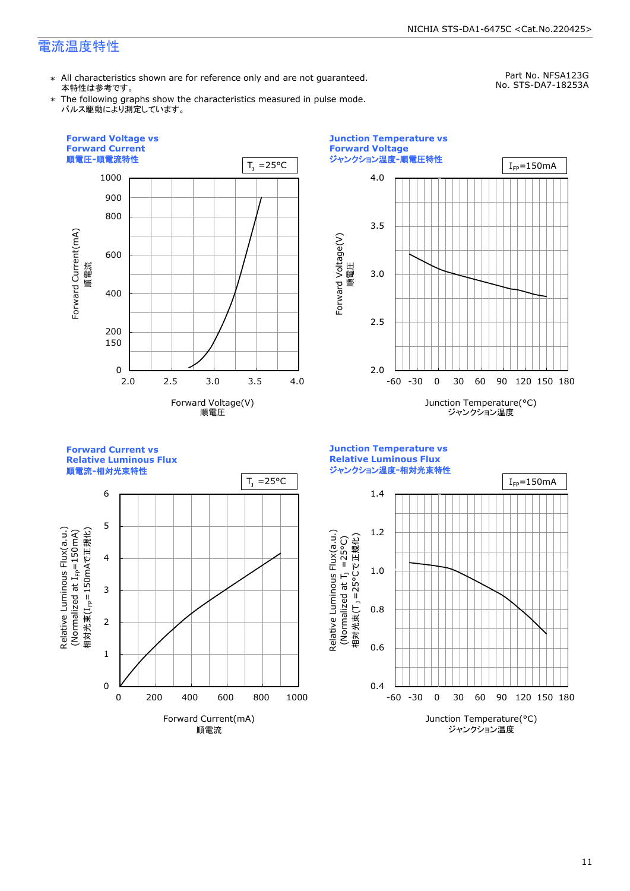### 電流温度特性

\* All characteristics shown are for reference only and are not guaranteed. 本特性は参考です。

Part No. NFSA123G No. STS-DA7-18253A

\* The following graphs show the characteristics measured in pulse mode. パルス駆動により測定しています。





**Forward Current vs** 

**Relative Luminous Flux**



0.4 0.6 0.8 1.0 1.2 1.4 -60 -30 0 30 60 90 120 150 180 ジャンクション温度**-**相対光束特性 Junction Temperature(°C) ジャンクション温度  $T_1 = 25^{\circ}C$  |  $I_{\text{FP}} = 150 \text{ mA}$ (Normalized at  $T_1$  =25°C) 相対光束(T」=25°Cで正規化) m i

**Junction Temperature vs Relative Luminous Flux**

Relative Luminous Flux(a.u.)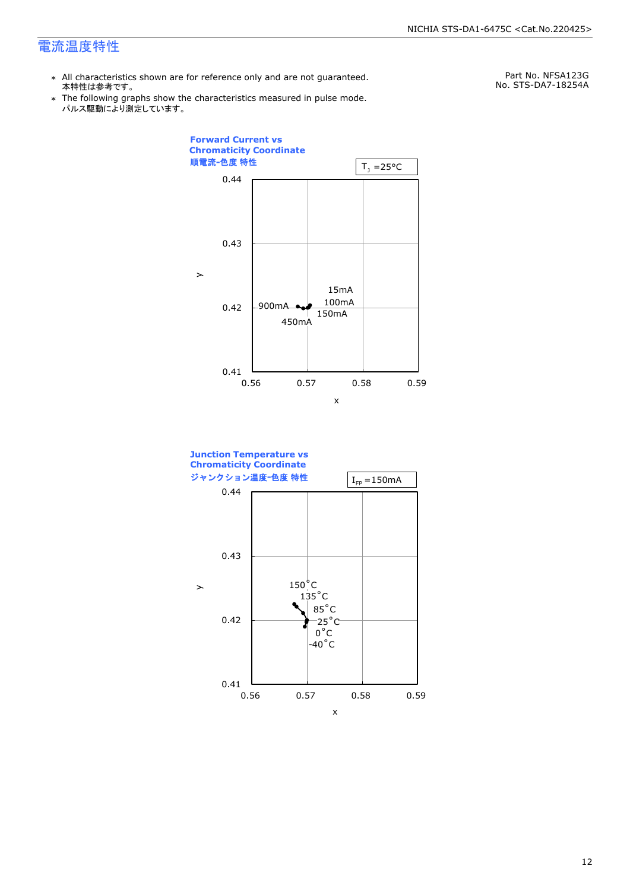### 電流温度特性

- \* All characteristics shown are for reference only and are not guaranteed. 本特性は参考です。
- \* Ine following graphs show th<br>、パルス駆動により測定しています。 The following graphs show the characteristics measured in pulse mode.

Part No. NFSA123G No. STS-DA7-18254A



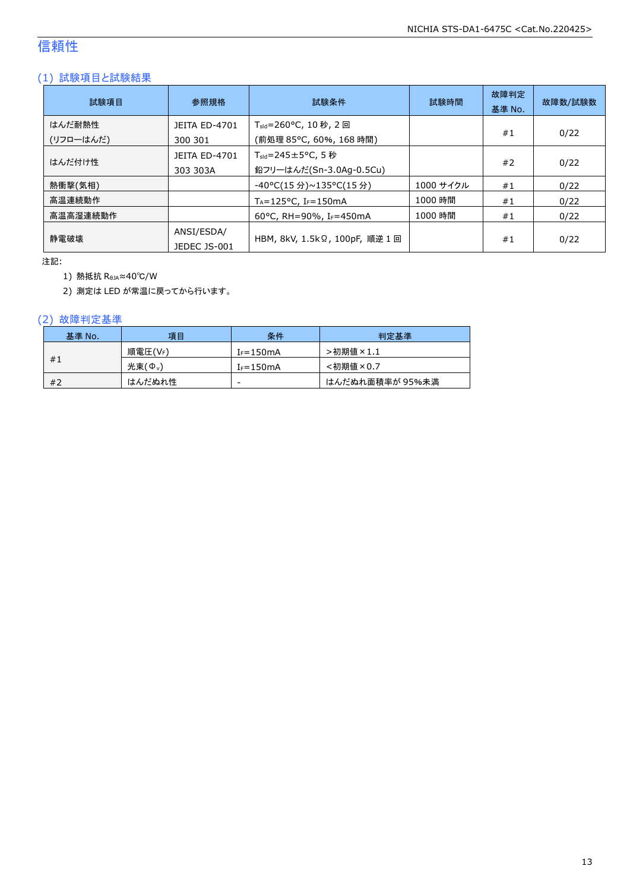### 信頼性

### (1) 試験項目と試験結果

| 試験項目                | 参照規格                            | 試験条件                                                                   | 試験時間      | 故障判定<br>基準 No. | 故障数/試験数 |
|---------------------|---------------------------------|------------------------------------------------------------------------|-----------|----------------|---------|
| はんだ耐熱性<br>(リフローはんだ) | <b>JEITA ED-4701</b><br>300 301 | T <sub>sld</sub> =260°C, 10 秒, 2 回<br>(前処理 85℃, 60%, 168 時間)           |           | #1             | 0/22    |
| はんだ付け性              | JEITA ED-4701<br>303 303A       | $T_{\text{std}} = 245 \pm 5^{\circ}$ C, 5 秒<br>鉛フリーはんだ(Sn-3.0Ag-0.5Cu) |           | #2             | 0/22    |
| 熱衝撃(気相)             |                                 | -40°C(15 分)~135°C(15 分)                                                | 1000 サイクル | #1             | 0/22    |
| 高温連続動作              |                                 | $T_A = 125$ °C, I <sub>F</sub> =150mA                                  | 1000 時間   | #1             | 0/22    |
| 高温高湿連続動作            |                                 | 60°C, RH=90%, I <sub>F</sub> =450mA                                    | 1000 時間   | #1             | 0/22    |
| 静雷破壊                | ANSI/ESDA/<br>JEDEC JS-001      | HBM, 8kV, 1.5kΩ, 100pF, 順逆 1 回                                         |           | #1             | 0/22    |

注記:

1) 熱抵抗 RθJA≈40℃/W

2) 測定は LED が常温に戻ってから行います。

### (2) 故障判定基準

| 基準 No. | 項目      | 条件            | 判定基準            |
|--------|---------|---------------|-----------------|
| #1     | 順電圧(VF) | $I_F = 150mA$ | >初期値×1.1        |
|        | 光束(Ф、)  | $I_F = 150mA$ | <初期値×0.7        |
| #2     | はんだぬれ性  | -             | はんだぬれ面積率が 95%未満 |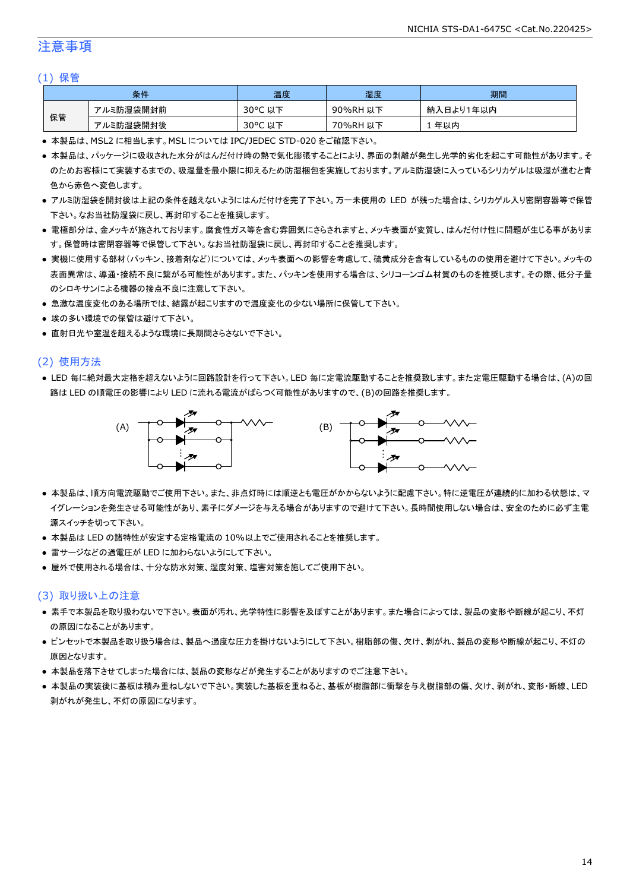### 注意事項

#### (1) 保管

|    | 条件        | 温度                     | 湿度          | 期間              |
|----|-----------|------------------------|-------------|-----------------|
|    | アルミ防湿袋開封前 | $30^{\circ}$ C<br>以下   | 90%RH<br>以下 | ∛入日より1年以内<br>納. |
| 保管 | アルミ防湿袋開封後 | $30^{\circ}$ C<br>. 以下 | 70%RH<br>以下 | 年以内             |

● 本製品は、MSL2 に相当します。MSL については IPC/JEDEC STD-020 をご確認下さい。

- 本製品は、パッケージに吸収された水分がはんだ付け時の熱で気化膨張することにより、界面の剥離が発生し光学的劣化を起こす可能性があります。そ のためお客様にて実装するまでの、吸湿量を最小限に抑えるため防湿梱包を実施しております。アルミ防湿袋に入っているシリカゲルは吸湿が進むと青 色から赤色へ変色します。
- アルミ防湿袋を開封後は上記の条件を越えないようにはんだ付けを完了下さい。万一未使用の LED が残った場合は、シリカゲル入り密閉容器等で保管 下さい。なお当社防湿袋に戻し、再封印することを推奨します。
- 電極部分は、金メッキが施されております。腐食性ガス等を含む雰囲気にさらされますと、メッキ表面が変質し、はんだ付け性に問題が生じる事がありま す。保管時は密閉容器等で保管して下さい。なお当社防湿袋に戻し、再封印することを推奨します。
- 実機に使用する部材(パッキン、接着剤など)については、メッキ表面への影響を考慮して、硫黄成分を含有しているものの使用を避けて下さい。メッキの 表面異常は、導通・接続不良に繋がる可能性があります。また、パッキンを使用する場合は、シリコーンゴム材質のものを推奨します。その際、低分子量 のシロキサンによる機器の接点不良に注意して下さい。
- 急激な温度変化のある場所では、結露が起こりますので温度変化の少ない場所に保管して下さい。
- 埃の多い環境での保管は避けて下さい。
- 直射日光や室温を超えるような環境に長期間さらさないで下さい。

### (2) 使用方法

● LED 毎に絶対最大定格を超えないように回路設計を行って下さい。LED 毎に定電流駆動することを推奨致します。また定電圧駆動する場合は、(A)の回 路は LED の順電圧の影響により LED に流れる電流がばらつく可能性がありますので、(B)の回路を推奨します。



- 本製品は、順方向電流駆動でご使用下さい。また、非点灯時には順逆とも電圧がかからないように配慮下さい。特に逆電圧が連続的に加わる状態は、マ イグレーションを発生させる可能性があり、素子にダメージを与える場合がありますので避けて下さい。長時間使用しない場合は、安全のために必ず主電 源スイッチを切って下さい。
- 本製品は LED の諸特性が安定する定格電流の 10%以上でご使用されることを推奨します。
- 雷サージなどの過電圧が LED に加わらないようにして下さい。
- 屋外で使用される場合は、十分な防水対策、湿度対策、塩害対策を施してご使用下さい。

#### (3) 取り扱い上の注意

- 素手で本製品を取り扱わないで下さい。表面が汚れ、光学特性に影響を及ぼすことがあります。また場合によっては、製品の変形や断線が起こり、不灯 の原因になることがあります。
- ピンセットで本製品を取り扱う場合は、製品へ過度な圧力を掛けないようにして下さい。樹脂部の傷、欠け、剥がれ、製品の変形や断線が起こり、不灯の 原因となります。
- 本製品を落下させてしまった場合には、製品の変形などが発生することがありますのでご注意下さい。
- 本製品の実装後に基板は積み重ねしないで下さい。実装した基板を重ねると、基板が樹脂部に衝撃を与え樹脂部の傷、欠け、剥がれ、変形・断線、LED 剥がれが発生し、不灯の原因になります。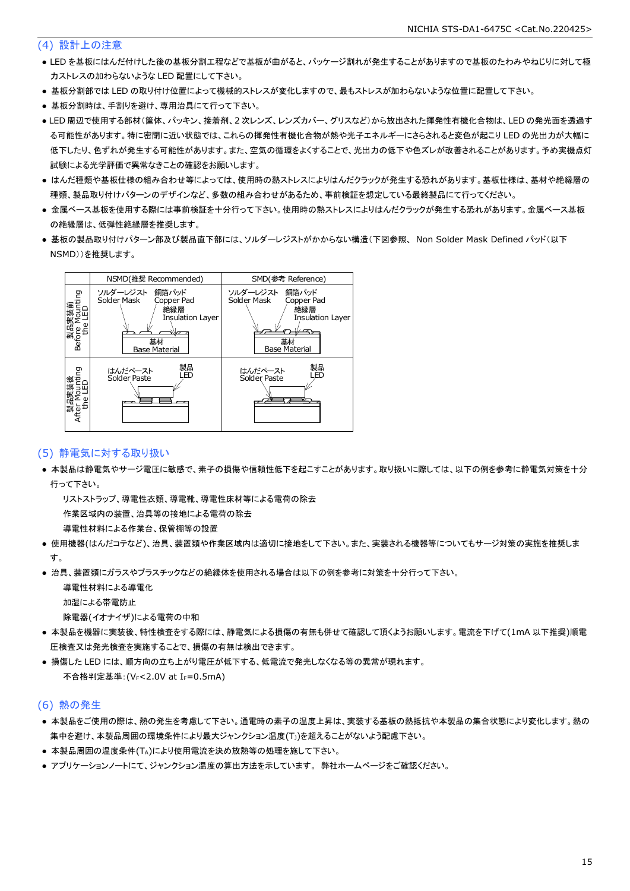### (4) 設計上の注意

- LED を基板にはんだ付けした後の基板分割工程などで基板が曲がると、パッケージ割れが発生することがありますので基板のたわみやねじりに対して極 力ストレスの加わらないような LED 配置にして下さい。
- 基板分割部では LED の取り付け位置によって機械的ストレスが変化しますので、最もストレスが加わらないような位置に配置して下さい。
- 基板分割時は、手割りを避け、専用治具にて行って下さい。
- LED 周辺で使用する部材(筐体、パッキン、接着剤、2 次レンズ、レンズカバー、グリスなど)から放出された揮発性有機化合物は、LED の発光面を透過す る可能性があります。特に密閉に近い状態では、これらの揮発性有機化合物が熱や光子エネルギーにさらされると変色が起こり LED の光出力が大幅に 低下したり、色ずれが発生する可能性があります。また、空気の循環をよくすることで、光出力の低下や色ズレが改善されることがあります。予め実機点灯 試験による光学評価で異常なきことの確認をお願いします。
- はんだ種類や基板仕様の組み合わせ等によっては、使用時の熱ストレスによりはんだクラックが発生する恐れがあります。基板仕様は、基材や絶縁層の 種類、製品取り付けパターンのデザインなど、多数の組み合わせがあるため、事前検証を想定している最終製品にて行ってください。
- 金属ベース基板を使用する際には事前検証を十分行って下さい。使用時の熱ストレスによりはんだクラックが発生する恐れがあります。金属ベース基板 の絶縁層は、低弾性絶縁層を推奨します。
- 基板の製品取り付けパターン部及び製品直下部には、ソルダーレジストがかからない構造(下図参照、 Non Solder Mask Defined パッド(以下 NSMD))を推奨します。



### (5) 静電気に対する取り扱い

● 本製品は静電気やサージ電圧に敏感で、素子の損傷や信頼性低下を起こすことがあります。取り扱いに際しては、以下の例を参考に静電気対策を十分 行って下さい。

 リストストラップ、導電性衣類、導電靴、導電性床材等による電荷の除去 作業区域内の装置、治具等の接地による電荷の除去

導電性材料による作業台、保管棚等の設置

- 使用機器(はんだコテなど)、治具、装置類や作業区域内は適切に接地をして下さい。また、実装される機器等についてもサージ対策の実施を推奨しま す。
- 治具、装置類にガラスやプラスチックなどの絶縁体を使用される場合は以下の例を参考に対策を十分行って下さい。

導電性材料による導電化

加湿による帯電防止

除電器(イオナイザ)による電荷の中和

- 本製品を機器に実装後、特性検査をする際には、静電気による損傷の有無も併せて確認して頂くようお願いします。電流を下げて(1mA 以下推奨)順電 圧検査又は発光検査を実施することで、損傷の有無は検出できます。
- 損傷した LED には、順方向の立ち上がり電圧が低下する、低電流で発光しなくなる等の異常が現れます。 不合格判定基準:(VF<2.0V at IF=0.5mA)

#### (6) 熱の発生

- 本製品をご使用の際は、熱の発生を考慮して下さい。通電時の素子の温度上昇は、実装する基板の熱抵抗や本製品の集合状態により変化します。熱の 集中を避け、本製品周囲の環境条件により最大ジャンクション温度(TJ)を超えることがないよう配慮下さい。
- 本製品周囲の温度条件(TA)により使用電流を決め放熱等の処理を施して下さい。
- アプリケーションノートにて、ジャンクション温度の算出方法を示しています。 弊社ホームページをご確認ください。